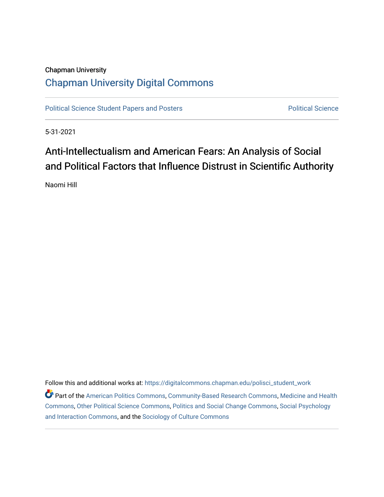# Chapman University [Chapman University Digital Commons](https://digitalcommons.chapman.edu/)

[Political Science Student Papers and Posters](https://digitalcommons.chapman.edu/polisci_student_work) **Political Science** Political Science

5-31-2021

# Anti-Intellectualism and American Fears: An Analysis of Social and Political Factors that Influence Distrust in Scientific Authority

Naomi Hill

Follow this and additional works at: [https://digitalcommons.chapman.edu/polisci\\_student\\_work](https://digitalcommons.chapman.edu/polisci_student_work?utm_source=digitalcommons.chapman.edu%2Fpolisci_student_work%2F9&utm_medium=PDF&utm_campaign=PDFCoverPages) 

Part of the [American Politics Commons,](http://network.bepress.com/hgg/discipline/387?utm_source=digitalcommons.chapman.edu%2Fpolisci_student_work%2F9&utm_medium=PDF&utm_campaign=PDFCoverPages) [Community-Based Research Commons](http://network.bepress.com/hgg/discipline/1047?utm_source=digitalcommons.chapman.edu%2Fpolisci_student_work%2F9&utm_medium=PDF&utm_campaign=PDFCoverPages), [Medicine and Health](http://network.bepress.com/hgg/discipline/422?utm_source=digitalcommons.chapman.edu%2Fpolisci_student_work%2F9&utm_medium=PDF&utm_campaign=PDFCoverPages)  [Commons](http://network.bepress.com/hgg/discipline/422?utm_source=digitalcommons.chapman.edu%2Fpolisci_student_work%2F9&utm_medium=PDF&utm_campaign=PDFCoverPages), [Other Political Science Commons,](http://network.bepress.com/hgg/discipline/392?utm_source=digitalcommons.chapman.edu%2Fpolisci_student_work%2F9&utm_medium=PDF&utm_campaign=PDFCoverPages) [Politics and Social Change Commons,](http://network.bepress.com/hgg/discipline/425?utm_source=digitalcommons.chapman.edu%2Fpolisci_student_work%2F9&utm_medium=PDF&utm_campaign=PDFCoverPages) [Social Psychology](http://network.bepress.com/hgg/discipline/430?utm_source=digitalcommons.chapman.edu%2Fpolisci_student_work%2F9&utm_medium=PDF&utm_campaign=PDFCoverPages) [and Interaction Commons](http://network.bepress.com/hgg/discipline/430?utm_source=digitalcommons.chapman.edu%2Fpolisci_student_work%2F9&utm_medium=PDF&utm_campaign=PDFCoverPages), and the [Sociology of Culture Commons](http://network.bepress.com/hgg/discipline/431?utm_source=digitalcommons.chapman.edu%2Fpolisci_student_work%2F9&utm_medium=PDF&utm_campaign=PDFCoverPages)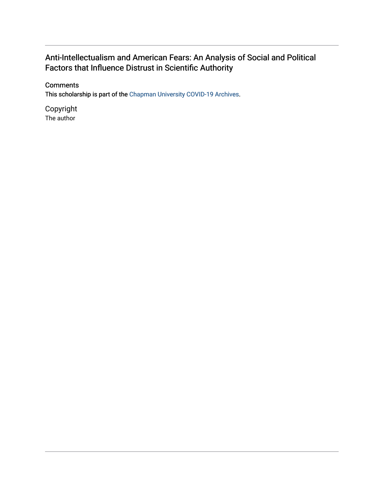# Anti-Intellectualism and American Fears: An Analysis of Social and Political Factors that Influence Distrust in Scientific Authority

### **Comments**

This scholarship is part of the [Chapman University COVID-19 Archives](https://digitalcommons.chapman.edu/covid-19_archives/).

Copyright The author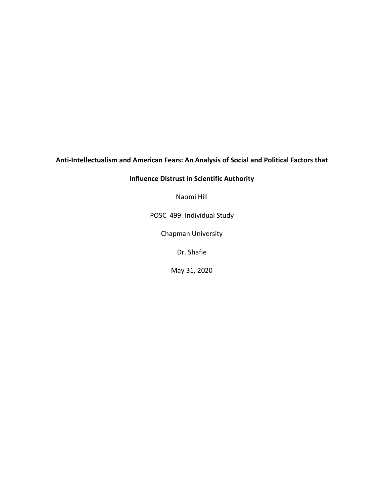## **Anti-Intellectualism and American Fears: An Analysis of Social and Political Factors that**

### **Influence Distrust in Scientific Authority**

Naomi Hill

POSC 499: Individual Study

Chapman University

Dr. Shafie

May 31, 2020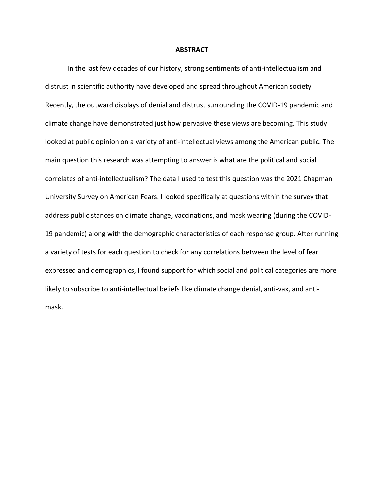#### **ABSTRACT**

In the last few decades of our history, strong sentiments of anti-intellectualism and distrust in scientific authority have developed and spread throughout American society. Recently, the outward displays of denial and distrust surrounding the COVID-19 pandemic and climate change have demonstrated just how pervasive these views are becoming. This study looked at public opinion on a variety of anti-intellectual views among the American public. The main question this research was attempting to answer is what are the political and social correlates of anti-intellectualism? The data I used to test this question was the 2021 Chapman University Survey on American Fears. I looked specifically at questions within the survey that address public stances on climate change, vaccinations, and mask wearing (during the COVID-19 pandemic) along with the demographic characteristics of each response group. After running a variety of tests for each question to check for any correlations between the level of fear expressed and demographics, I found support for which social and political categories are more likely to subscribe to anti-intellectual beliefs like climate change denial, anti-vax, and antimask.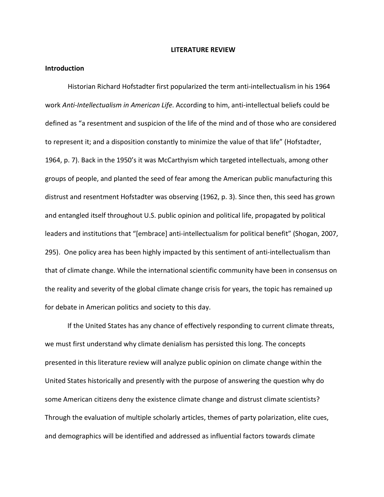#### **LITERATURE REVIEW**

#### **Introduction**

Historian Richard Hofstadter first popularized the term anti-intellectualism in his 1964 work *Anti-Intellectualism in American Life*. According to him, anti-intellectual beliefs could be defined as "a resentment and suspicion of the life of the mind and of those who are considered to represent it; and a disposition constantly to minimize the value of that life" (Hofstadter, 1964, p. 7). Back in the 1950's it was McCarthyism which targeted intellectuals, among other groups of people, and planted the seed of fear among the American public manufacturing this distrust and resentment Hofstadter was observing (1962, p. 3). Since then, this seed has grown and entangled itself throughout U.S. public opinion and political life, propagated by political leaders and institutions that "[embrace] anti-intellectualism for political benefit" (Shogan, 2007, 295). One policy area has been highly impacted by this sentiment of anti-intellectualism than that of climate change. While the international scientific community have been in consensus on the reality and severity of the global climate change crisis for years, the topic has remained up for debate in American politics and society to this day.

If the United States has any chance of effectively responding to current climate threats, we must first understand why climate denialism has persisted this long. The concepts presented in this literature review will analyze public opinion on climate change within the United States historically and presently with the purpose of answering the question why do some American citizens deny the existence climate change and distrust climate scientists? Through the evaluation of multiple scholarly articles, themes of party polarization, elite cues, and demographics will be identified and addressed as influential factors towards climate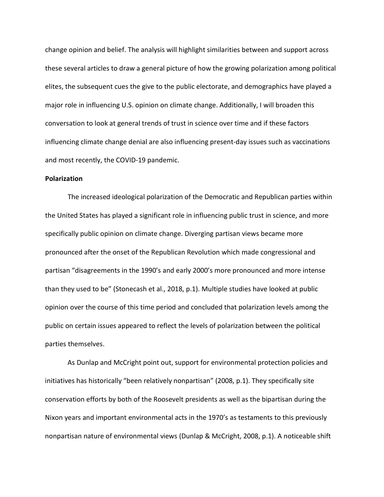change opinion and belief. The analysis will highlight similarities between and support across these several articles to draw a general picture of how the growing polarization among political elites, the subsequent cues the give to the public electorate, and demographics have played a major role in influencing U.S. opinion on climate change. Additionally, I will broaden this conversation to look at general trends of trust in science over time and if these factors influencing climate change denial are also influencing present-day issues such as vaccinations and most recently, the COVID-19 pandemic.

#### **Polarization**

The increased ideological polarization of the Democratic and Republican parties within the United States has played a significant role in influencing public trust in science, and more specifically public opinion on climate change. Diverging partisan views became more pronounced after the onset of the Republican Revolution which made congressional and partisan "disagreements in the 1990's and early 2000's more pronounced and more intense than they used to be" (Stonecash et al., 2018, p.1). Multiple studies have looked at public opinion over the course of this time period and concluded that polarization levels among the public on certain issues appeared to reflect the levels of polarization between the political parties themselves.

As Dunlap and McCright point out, support for environmental protection policies and initiatives has historically "been relatively nonpartisan" (2008, p.1). They specifically site conservation efforts by both of the Roosevelt presidents as well as the bipartisan during the Nixon years and important environmental acts in the 1970's as testaments to this previously nonpartisan nature of environmental views (Dunlap & McCright, 2008, p.1). A noticeable shift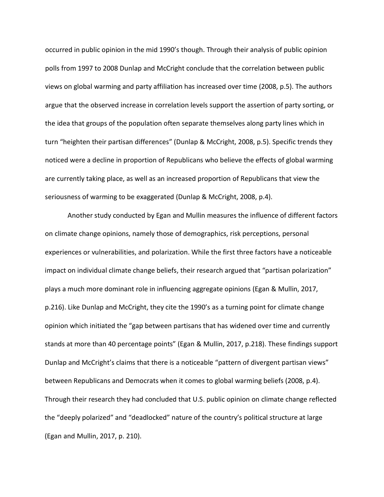occurred in public opinion in the mid 1990's though. Through their analysis of public opinion polls from 1997 to 2008 Dunlap and McCright conclude that the correlation between public views on global warming and party affiliation has increased over time (2008, p.5). The authors argue that the observed increase in correlation levels support the assertion of party sorting, or the idea that groups of the population often separate themselves along party lines which in turn "heighten their partisan differences" (Dunlap & McCright, 2008, p.5). Specific trends they noticed were a decline in proportion of Republicans who believe the effects of global warming are currently taking place, as well as an increased proportion of Republicans that view the seriousness of warming to be exaggerated (Dunlap & McCright, 2008, p.4).

Another study conducted by Egan and Mullin measures the influence of different factors on climate change opinions, namely those of demographics, risk perceptions, personal experiences or vulnerabilities, and polarization. While the first three factors have a noticeable impact on individual climate change beliefs, their research argued that "partisan polarization" plays a much more dominant role in influencing aggregate opinions (Egan & Mullin, 2017, p.216). Like Dunlap and McCright, they cite the 1990's as a turning point for climate change opinion which initiated the "gap between partisans that has widened over time and currently stands at more than 40 percentage points" (Egan & Mullin, 2017, p.218). These findings support Dunlap and McCright's claims that there is a noticeable "pattern of divergent partisan views" between Republicans and Democrats when it comes to global warming beliefs (2008, p.4). Through their research they had concluded that U.S. public opinion on climate change reflected the "deeply polarized" and "deadlocked" nature of the country's political structure at large (Egan and Mullin, 2017, p. 210).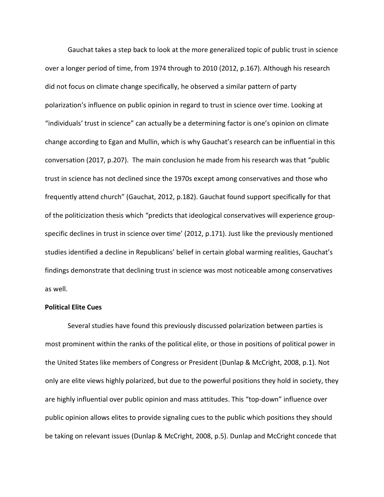Gauchat takes a step back to look at the more generalized topic of public trust in science over a longer period of time, from 1974 through to 2010 (2012, p.167). Although his research did not focus on climate change specifically, he observed a similar pattern of party polarization's influence on public opinion in regard to trust in science over time. Looking at "individuals' trust in science" can actually be a determining factor is one's opinion on climate change according to Egan and Mullin, which is why Gauchat's research can be influential in this conversation (2017, p.207). The main conclusion he made from his research was that "public trust in science has not declined since the 1970s except among conservatives and those who frequently attend church" (Gauchat, 2012, p.182). Gauchat found support specifically for that of the politicization thesis which "predicts that ideological conservatives will experience groupspecific declines in trust in science over time' (2012, p.171). Just like the previously mentioned studies identified a decline in Republicans' belief in certain global warming realities, Gauchat's findings demonstrate that declining trust in science was most noticeable among conservatives as well.

#### **Political Elite Cues**

Several studies have found this previously discussed polarization between parties is most prominent within the ranks of the political elite, or those in positions of political power in the United States like members of Congress or President (Dunlap & McCright, 2008, p.1). Not only are elite views highly polarized, but due to the powerful positions they hold in society, they are highly influential over public opinion and mass attitudes. This "top-down" influence over public opinion allows elites to provide signaling cues to the public which positions they should be taking on relevant issues (Dunlap & McCright, 2008, p.5). Dunlap and McCright concede that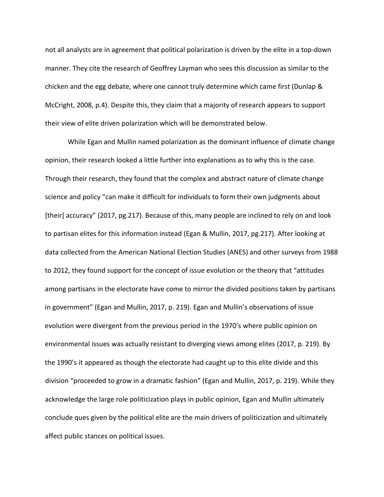not all analysts are in agreement that political polarization is driven by the elite in a top-down manner. They cite the research of Geoffrey Layman who sees this discussion as similar to the chicken and the egg debate, where one cannot truly determine which came first (Dunlap & McCright, 2008, p.4). Despite this, they claim that a majority of research appears to support their view of elite driven polarization which will be demonstrated below.

While Egan and Mullin named polarization as the dominant influence of climate change opinion, their research looked a little further into explanations as to why this is the case. Through their research, they found that the complex and abstract nature of climate change science and policy "can make it difficult for individuals to form their own judgments about [their] accuracy" (2017, pg.217). Because of this, many people are inclined to rely on and look to partisan elites for this information instead (Egan & Mullin, 2017, pg.217). After looking at data collected from the American National Election Studies (ANES) and other surveys from 1988 to 2012, they found support for the concept of issue evolution or the theory that "attitudes among partisans in the electorate have come to mirror the divided positions taken by partisans in government" (Egan and Mullin, 2017, p. 219). Egan and Mullin's observations of issue evolution were divergent from the previous period in the 1970's where public opinion on environmental issues was actually resistant to diverging views among elites (2017, p. 219). By the 1990's it appeared as though the electorate had caught up to this elite divide and this division "proceeded to grow in a dramatic fashion" (Egan and Mullin, 2017, p. 219). While they acknowledge the large role politicization plays in public opinion, Egan and Mullin ultimately conclude ques given by the political elite are the main drivers of politicization and ultimately affect public stances on political issues.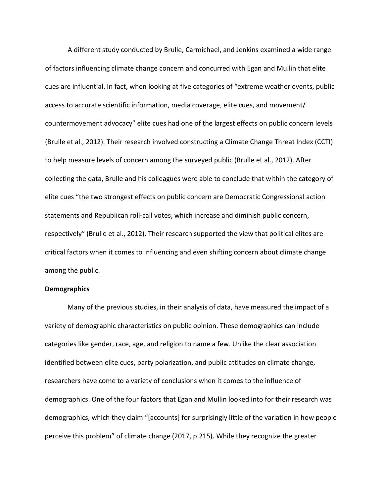A different study conducted by Brulle, Carmichael, and Jenkins examined a wide range of factors influencing climate change concern and concurred with Egan and Mullin that elite cues are influential. In fact, when looking at five categories of "extreme weather events, public access to accurate scientific information, media coverage, elite cues, and movement/ countermovement advocacy" elite cues had one of the largest effects on public concern levels (Brulle et al., 2012). Their research involved constructing a Climate Change Threat Index (CCTI) to help measure levels of concern among the surveyed public (Brulle et al., 2012). After collecting the data, Brulle and his colleagues were able to conclude that within the category of elite cues "the two strongest effects on public concern are Democratic Congressional action statements and Republican roll-call votes, which increase and diminish public concern, respectively" (Brulle et al., 2012). Their research supported the view that political elites are critical factors when it comes to influencing and even shifting concern about climate change among the public.

#### **Demographics**

Many of the previous studies, in their analysis of data, have measured the impact of a variety of demographic characteristics on public opinion. These demographics can include categories like gender, race, age, and religion to name a few. Unlike the clear association identified between elite cues, party polarization, and public attitudes on climate change, researchers have come to a variety of conclusions when it comes to the influence of demographics. One of the four factors that Egan and Mullin looked into for their research was demographics, which they claim "[accounts] for surprisingly little of the variation in how people perceive this problem" of climate change (2017, p.215). While they recognize the greater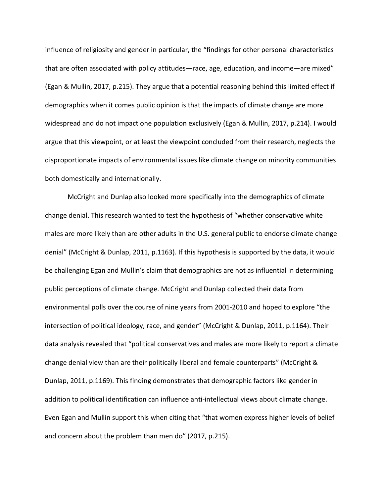influence of religiosity and gender in particular, the "findings for other personal characteristics that are often associated with policy attitudes—race, age, education, and income—are mixed" (Egan & Mullin, 2017, p.215). They argue that a potential reasoning behind this limited effect if demographics when it comes public opinion is that the impacts of climate change are more widespread and do not impact one population exclusively (Egan & Mullin, 2017, p.214). I would argue that this viewpoint, or at least the viewpoint concluded from their research, neglects the disproportionate impacts of environmental issues like climate change on minority communities both domestically and internationally.

McCright and Dunlap also looked more specifically into the demographics of climate change denial. This research wanted to test the hypothesis of "whether conservative white males are more likely than are other adults in the U.S. general public to endorse climate change denial" (McCright & Dunlap, 2011, p.1163). If this hypothesis is supported by the data, it would be challenging Egan and Mullin's claim that demographics are not as influential in determining public perceptions of climate change. McCright and Dunlap collected their data from environmental polls over the course of nine years from 2001-2010 and hoped to explore "the intersection of political ideology, race, and gender" (McCright & Dunlap, 2011, p.1164). Their data analysis revealed that "political conservatives and males are more likely to report a climate change denial view than are their politically liberal and female counterparts" (McCright & Dunlap, 2011, p.1169). This finding demonstrates that demographic factors like gender in addition to political identification can influence anti-intellectual views about climate change. Even Egan and Mullin support this when citing that "that women express higher levels of belief and concern about the problem than men do" (2017, p.215).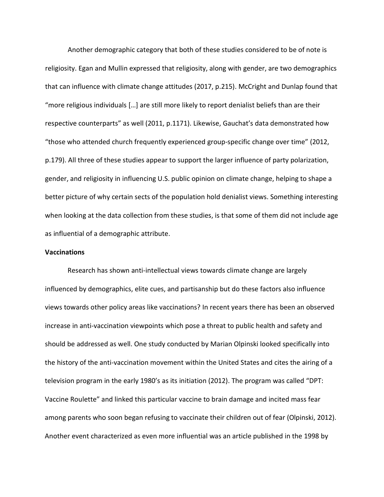Another demographic category that both of these studies considered to be of note is religiosity. Egan and Mullin expressed that religiosity, along with gender, are two demographics that can influence with climate change attitudes (2017, p.215). McCright and Dunlap found that "more religious individuals […] are still more likely to report denialist beliefs than are their respective counterparts" as well (2011, p.1171). Likewise, Gauchat's data demonstrated how "those who attended church frequently experienced group-specific change over time" (2012, p.179). All three of these studies appear to support the larger influence of party polarization, gender, and religiosity in influencing U.S. public opinion on climate change, helping to shape a better picture of why certain sects of the population hold denialist views. Something interesting when looking at the data collection from these studies, is that some of them did not include age as influential of a demographic attribute.

#### **Vaccinations**

Research has shown anti-intellectual views towards climate change are largely influenced by demographics, elite cues, and partisanship but do these factors also influence views towards other policy areas like vaccinations? In recent years there has been an observed increase in anti-vaccination viewpoints which pose a threat to public health and safety and should be addressed as well. One study conducted by Marian Olpinski looked specifically into the history of the anti-vaccination movement within the United States and cites the airing of a television program in the early 1980's as its initiation (2012). The program was called "DPT: Vaccine Roulette" and linked this particular vaccine to brain damage and incited mass fear among parents who soon began refusing to vaccinate their children out of fear (Olpinski, 2012). Another event characterized as even more influential was an article published in the 1998 by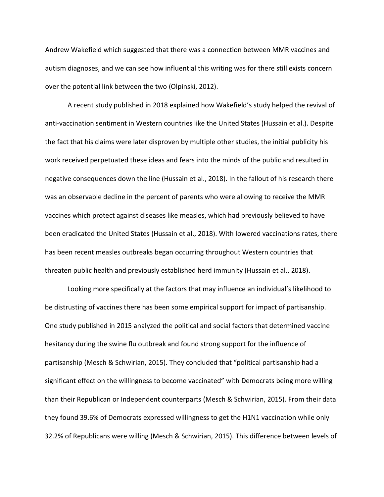Andrew Wakefield which suggested that there was a connection between MMR vaccines and autism diagnoses, and we can see how influential this writing was for there still exists concern over the potential link between the two (Olpinski, 2012).

A recent study published in 2018 explained how Wakefield's study helped the revival of anti-vaccination sentiment in Western countries like the United States (Hussain et al.). Despite the fact that his claims were later disproven by multiple other studies, the initial publicity his work received perpetuated these ideas and fears into the minds of the public and resulted in negative consequences down the line (Hussain et al., 2018). In the fallout of his research there was an observable decline in the percent of parents who were allowing to receive the MMR vaccines which protect against diseases like measles, which had previously believed to have been eradicated the United States (Hussain et al., 2018). With lowered vaccinations rates, there has been recent measles outbreaks began occurring throughout Western countries that threaten public health and previously established herd immunity (Hussain et al., 2018).

Looking more specifically at the factors that may influence an individual's likelihood to be distrusting of vaccines there has been some empirical support for impact of partisanship. One study published in 2015 analyzed the political and social factors that determined vaccine hesitancy during the swine flu outbreak and found strong support for the influence of partisanship (Mesch & Schwirian, 2015). They concluded that "political partisanship had a significant effect on the willingness to become vaccinated" with Democrats being more willing than their Republican or Independent counterparts (Mesch & Schwirian, 2015). From their data they found 39.6% of Democrats expressed willingness to get the H1N1 vaccination while only 32.2% of Republicans were willing (Mesch & Schwirian, 2015). This difference between levels of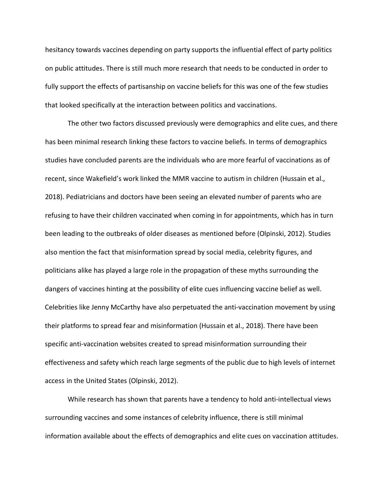hesitancy towards vaccines depending on party supports the influential effect of party politics on public attitudes. There is still much more research that needs to be conducted in order to fully support the effects of partisanship on vaccine beliefs for this was one of the few studies that looked specifically at the interaction between politics and vaccinations.

The other two factors discussed previously were demographics and elite cues, and there has been minimal research linking these factors to vaccine beliefs. In terms of demographics studies have concluded parents are the individuals who are more fearful of vaccinations as of recent, since Wakefield's work linked the MMR vaccine to autism in children (Hussain et al., 2018). Pediatricians and doctors have been seeing an elevated number of parents who are refusing to have their children vaccinated when coming in for appointments, which has in turn been leading to the outbreaks of older diseases as mentioned before (Olpinski, 2012). Studies also mention the fact that misinformation spread by social media, celebrity figures, and politicians alike has played a large role in the propagation of these myths surrounding the dangers of vaccines hinting at the possibility of elite cues influencing vaccine belief as well. Celebrities like Jenny McCarthy have also perpetuated the anti-vaccination movement by using their platforms to spread fear and misinformation (Hussain et al., 2018). There have been specific anti-vaccination websites created to spread misinformation surrounding their effectiveness and safety which reach large segments of the public due to high levels of internet access in the United States (Olpinski, 2012).

While research has shown that parents have a tendency to hold anti-intellectual views surrounding vaccines and some instances of celebrity influence, there is still minimal information available about the effects of demographics and elite cues on vaccination attitudes.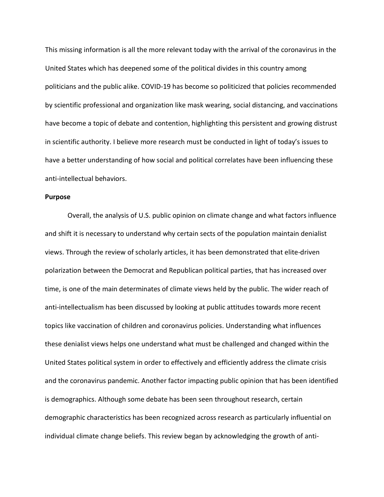This missing information is all the more relevant today with the arrival of the coronavirus in the United States which has deepened some of the political divides in this country among politicians and the public alike. COVID-19 has become so politicized that policies recommended by scientific professional and organization like mask wearing, social distancing, and vaccinations have become a topic of debate and contention, highlighting this persistent and growing distrust in scientific authority. I believe more research must be conducted in light of today's issues to have a better understanding of how social and political correlates have been influencing these anti-intellectual behaviors.

#### **Purpose**

Overall, the analysis of U.S. public opinion on climate change and what factors influence and shift it is necessary to understand why certain sects of the population maintain denialist views. Through the review of scholarly articles, it has been demonstrated that elite-driven polarization between the Democrat and Republican political parties, that has increased over time, is one of the main determinates of climate views held by the public. The wider reach of anti-intellectualism has been discussed by looking at public attitudes towards more recent topics like vaccination of children and coronavirus policies. Understanding what influences these denialist views helps one understand what must be challenged and changed within the United States political system in order to effectively and efficiently address the climate crisis and the coronavirus pandemic. Another factor impacting public opinion that has been identified is demographics. Although some debate has been seen throughout research, certain demographic characteristics has been recognized across research as particularly influential on individual climate change beliefs. This review began by acknowledging the growth of anti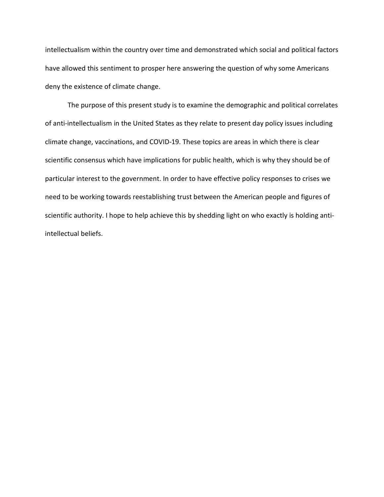intellectualism within the country over time and demonstrated which social and political factors have allowed this sentiment to prosper here answering the question of why some Americans deny the existence of climate change.

The purpose of this present study is to examine the demographic and political correlates of anti-intellectualism in the United States as they relate to present day policy issues including climate change, vaccinations, and COVID-19. These topics are areas in which there is clear scientific consensus which have implications for public health, which is why they should be of particular interest to the government. In order to have effective policy responses to crises we need to be working towards reestablishing trust between the American people and figures of scientific authority. I hope to help achieve this by shedding light on who exactly is holding antiintellectual beliefs.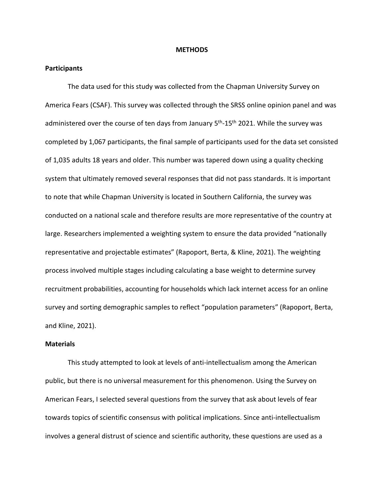#### **METHODS**

#### **Participants**

The data used for this study was collected from the Chapman University Survey on America Fears (CSAF). This survey was collected through the SRSS online opinion panel and was administered over the course of ten days from January  $5<sup>th</sup>$ -15<sup>th</sup> 2021. While the survey was completed by 1,067 participants, the final sample of participants used for the data set consisted of 1,035 adults 18 years and older. This number was tapered down using a quality checking system that ultimately removed several responses that did not pass standards. It is important to note that while Chapman University is located in Southern California, the survey was conducted on a national scale and therefore results are more representative of the country at large. Researchers implemented a weighting system to ensure the data provided "nationally representative and projectable estimates" (Rapoport, Berta, & Kline, 2021). The weighting process involved multiple stages including calculating a base weight to determine survey recruitment probabilities, accounting for households which lack internet access for an online survey and sorting demographic samples to reflect "population parameters" (Rapoport, Berta, and Kline, 2021).

#### **Materials**

This study attempted to look at levels of anti-intellectualism among the American public, but there is no universal measurement for this phenomenon. Using the Survey on American Fears, I selected several questions from the survey that ask about levels of fear towards topics of scientific consensus with political implications. Since anti-intellectualism involves a general distrust of science and scientific authority, these questions are used as a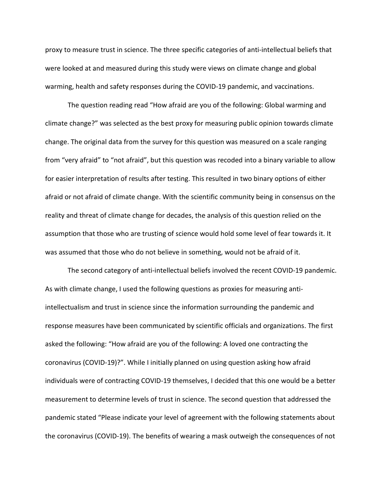proxy to measure trust in science. The three specific categories of anti-intellectual beliefs that were looked at and measured during this study were views on climate change and global warming, health and safety responses during the COVID-19 pandemic, and vaccinations.

The question reading read "How afraid are you of the following: Global warming and climate change?" was selected as the best proxy for measuring public opinion towards climate change. The original data from the survey for this question was measured on a scale ranging from "very afraid" to "not afraid", but this question was recoded into a binary variable to allow for easier interpretation of results after testing. This resulted in two binary options of either afraid or not afraid of climate change. With the scientific community being in consensus on the reality and threat of climate change for decades, the analysis of this question relied on the assumption that those who are trusting of science would hold some level of fear towards it. It was assumed that those who do not believe in something, would not be afraid of it.

The second category of anti-intellectual beliefs involved the recent COVID-19 pandemic. As with climate change, I used the following questions as proxies for measuring antiintellectualism and trust in science since the information surrounding the pandemic and response measures have been communicated by scientific officials and organizations. The first asked the following: "How afraid are you of the following: A loved one contracting the coronavirus (COVID-19)?". While I initially planned on using question asking how afraid individuals were of contracting COVID-19 themselves, I decided that this one would be a better measurement to determine levels of trust in science. The second question that addressed the pandemic stated "Please indicate your level of agreement with the following statements about the coronavirus (COVID-19). The benefits of wearing a mask outweigh the consequences of not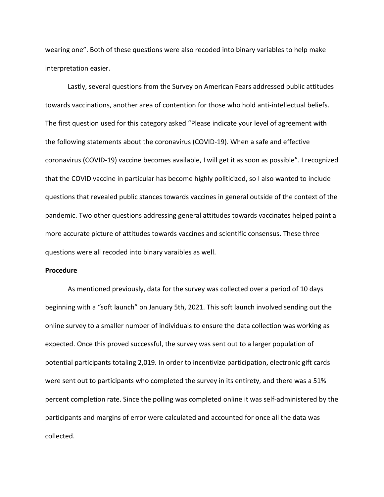wearing one". Both of these questions were also recoded into binary variables to help make interpretation easier.

Lastly, several questions from the Survey on American Fears addressed public attitudes towards vaccinations, another area of contention for those who hold anti-intellectual beliefs. The first question used for this category asked "Please indicate your level of agreement with the following statements about the coronavirus (COVID-19). When a safe and effective coronavirus (COVID-19) vaccine becomes available, I will get it as soon as possible". I recognized that the COVID vaccine in particular has become highly politicized, so I also wanted to include questions that revealed public stances towards vaccines in general outside of the context of the pandemic. Two other questions addressing general attitudes towards vaccinates helped paint a more accurate picture of attitudes towards vaccines and scientific consensus. These three questions were all recoded into binary varaibles as well.

#### **Procedure**

As mentioned previously, data for the survey was collected over a period of 10 days beginning with a "soft launch" on January 5th, 2021. This soft launch involved sending out the online survey to a smaller number of individuals to ensure the data collection was working as expected. Once this proved successful, the survey was sent out to a larger population of potential participants totaling 2,019. In order to incentivize participation, electronic gift cards were sent out to participants who completed the survey in its entirety, and there was a 51% percent completion rate. Since the polling was completed online it was self-administered by the participants and margins of error were calculated and accounted for once all the data was collected.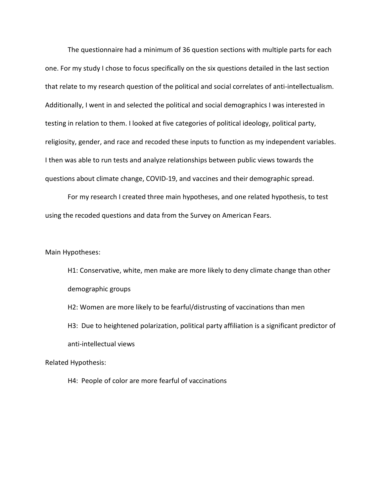The questionnaire had a minimum of 36 question sections with multiple parts for each one. For my study I chose to focus specifically on the six questions detailed in the last section that relate to my research question of the political and social correlates of anti-intellectualism. Additionally, I went in and selected the political and social demographics I was interested in testing in relation to them. I looked at five categories of political ideology, political party, religiosity, gender, and race and recoded these inputs to function as my independent variables. I then was able to run tests and analyze relationships between public views towards the questions about climate change, COVID-19, and vaccines and their demographic spread.

For my research I created three main hypotheses, and one related hypothesis, to test using the recoded questions and data from the Survey on American Fears.

Main Hypotheses:

H1: Conservative, white, men make are more likely to deny climate change than other demographic groups

H2: Women are more likely to be fearful/distrusting of vaccinations than men H3: Due to heightened polarization, political party affiliation is a significant predictor of anti-intellectual views

Related Hypothesis:

H4: People of color are more fearful of vaccinations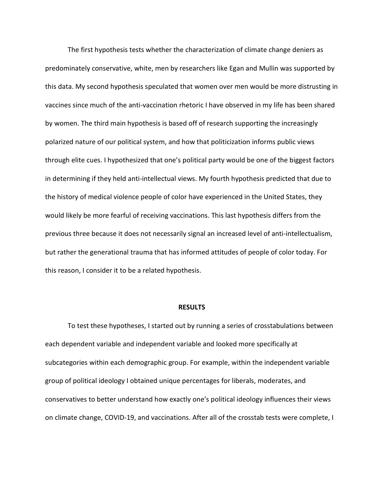The first hypothesis tests whether the characterization of climate change deniers as predominately conservative, white, men by researchers like Egan and Mullin was supported by this data. My second hypothesis speculated that women over men would be more distrusting in vaccines since much of the anti-vaccination rhetoric I have observed in my life has been shared by women. The third main hypothesis is based off of research supporting the increasingly polarized nature of our political system, and how that politicization informs public views through elite cues. I hypothesized that one's political party would be one of the biggest factors in determining if they held anti-intellectual views. My fourth hypothesis predicted that due to the history of medical violence people of color have experienced in the United States, they would likely be more fearful of receiving vaccinations. This last hypothesis differs from the previous three because it does not necessarily signal an increased level of anti-intellectualism, but rather the generational trauma that has informed attitudes of people of color today. For this reason, I consider it to be a related hypothesis.

#### **RESULTS**

To test these hypotheses, I started out by running a series of crosstabulations between each dependent variable and independent variable and looked more specifically at subcategories within each demographic group. For example, within the independent variable group of political ideology I obtained unique percentages for liberals, moderates, and conservatives to better understand how exactly one's political ideology influences their views on climate change, COVID-19, and vaccinations. After all of the crosstab tests were complete, I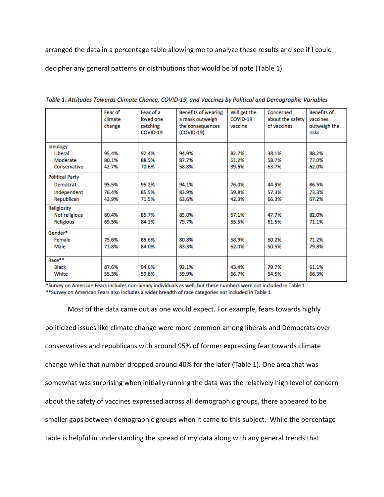arranged the data in a percentage table allowing me to analyze these results and see if I could decipher any general patterns or distributions that would be of note (Table 1).

|                        | Fear of | Fear of a | <b>Benefits of wearing</b> | Will get the                 | Concerned | <b>Benefits of</b> |  |  |
|------------------------|---------|-----------|----------------------------|------------------------------|-----------|--------------------|--|--|
|                        | climate | loved one | a mask outweigh            | COVID-19<br>about the safety |           | vaccines           |  |  |
|                        | change  | catching  | the consequences           | of vaccines<br>vaccine       |           | outweigh the       |  |  |
|                        |         | COVID-19  | $(COVID-19)$               |                              |           | risks              |  |  |
|                        |         |           |                            |                              |           |                    |  |  |
| Ideology               |         |           |                            |                              |           |                    |  |  |
| Liberal                | 95.4%   | 92.4%     | 94.9%                      | 38.1%<br>82.7%               |           | 88.2%              |  |  |
| Moderate               | 80.1%   | 88.5%     | 87.7%                      | 61.2%                        | 58.7%     | 77.0%              |  |  |
| Conservative           | 42.7%   | 70.6%     | 58.8%                      | 39.6%                        | 63.7%     | 62.0%              |  |  |
| <b>Political Party</b> |         |           |                            |                              |           |                    |  |  |
| Democrat               | 95.5%   | 95.2%     | 94.1%                      | 76.0%                        | 44.9%     | 86.5%              |  |  |
| Independent            | 76.4%   | 85.5%     | 83.9%                      | 59.8%                        | 57.3%     | 73.3%              |  |  |
| Republican             | 43.9%   | 71.5%     | 63.6%<br>42.3%             |                              | 66.3%     | 67.2%              |  |  |
|                        |         |           |                            |                              |           |                    |  |  |
| Religiosity            |         |           |                            |                              |           |                    |  |  |
| Not religious          | 80.4%   | 85.7%     | 85.0%                      | 67.1%                        | 47.7%     | 82.0%              |  |  |
| Religious              | 69.5%   | 84.1%     | 79.7%                      | 55.5%                        | 61.5%     | 71.1%              |  |  |
| Gender*                |         |           |                            |                              |           |                    |  |  |
| Female                 | 75.6%   | 85.6%     | 80.8%                      | 58.9%                        | 60.2%     | 71.2%              |  |  |
| Male                   | 71.8%   | 84.0%     | 83.3%                      | 62.0%                        | 50.5%     | 79.8%              |  |  |
|                        |         |           |                            |                              |           |                    |  |  |
| Race**                 |         |           |                            |                              |           |                    |  |  |
| <b>Black</b>           | 87.6%   | 94.6%     | 92.1%                      | 43.4%                        | 79.7%     | 61.1%              |  |  |
| White                  | 55.3%   | 59.8%     | 59.9%                      | 66.7%                        | 54.5%     | 66.3%              |  |  |
|                        |         |           |                            |                              |           |                    |  |  |

Table 1. Attitudes Towards Climate Chance, COVID-19, and Vaccines by Political and Demographic Variables

\*Survey on American Fears includes non-binary individuals as well, but these numbers were not included in Table 1 \*\*Survey on American Fears also includes a wider breadth of race categories not included in Table 1

Most of the data came out as one would expect. For example, fears towards highly politicized issues like climate change were more common among liberals and Democrats over conservatives and republicans with around 95% of former expressing fear towards climate change while that number dropped around 40% for the later (Table 1). One area that was somewhat was surprising when initially running the data was the relatively high level of concern about the safety of vaccines expressed across all demographic groups, there appeared to be smaller gaps between demographic groups when it came to this subject. While the percentage table is helpful in understanding the spread of my data along with any general trends that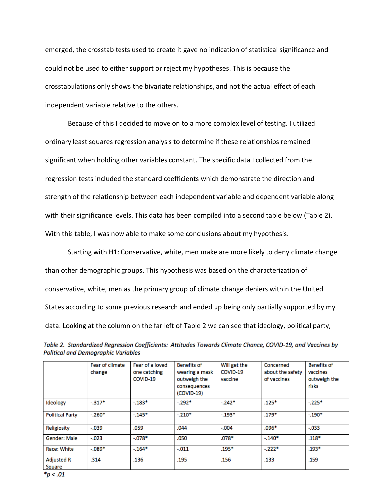emerged, the crosstab tests used to create it gave no indication of statistical significance and could not be used to either support or reject my hypotheses. This is because the crosstabulations only shows the bivariate relationships, and not the actual effect of each independent variable relative to the others.

Because of this I decided to move on to a more complex level of testing. I utilized ordinary least squares regression analysis to determine if these relationships remained significant when holding other variables constant. The specific data I collected from the regression tests included the standard coefficients which demonstrate the direction and strength of the relationship between each independent variable and dependent variable along with their significance levels. This data has been compiled into a second table below (Table 2). With this table, I was now able to make some conclusions about my hypothesis.

Starting with H1: Conservative, white, men make are more likely to deny climate change than other demographic groups. This hypothesis was based on the characterization of conservative, white, men as the primary group of climate change deniers within the United States according to some previous research and ended up being only partially supported by my data. Looking at the column on the far left of Table 2 we can see that ideology, political party,

|                             | Fear of climate<br>change | Fear of a loved<br>one catching<br>COVID-19 | <b>Benefits of</b><br>wearing a mask<br>outweigh the<br>consequences<br>(COVID-19) | Will get the<br>COVID-19<br>vaccine | Concerned<br>about the safety<br>of vaccines | <b>Benefits of</b><br>vaccines<br>outweigh the<br>risks |  |  |
|-----------------------------|---------------------------|---------------------------------------------|------------------------------------------------------------------------------------|-------------------------------------|----------------------------------------------|---------------------------------------------------------|--|--|
| Ideology                    | $-317*$                   | $-183*$                                     | $-292*$                                                                            | $-242*$                             | $.125*$                                      | $-225*$                                                 |  |  |
| <b>Political Party</b>      | $-260*$                   | $-145*$                                     | $-.210*$                                                                           | $-193*$                             | $.179*$                                      | $-.190*$                                                |  |  |
| Religiosity                 | $-.039$                   | .059                                        | .044                                                                               | $-.004$                             | $.096*$                                      | $-.033$                                                 |  |  |
| Gender: Male                | $-.023$                   | $-0.078*$                                   | .050                                                                               | $.078*$                             | $-140*$                                      | $.118*$                                                 |  |  |
| Race: White                 | $-0.089*$                 | $-164*$                                     | $-.011$                                                                            | $.195*$                             | $-222*$                                      | $.193*$                                                 |  |  |
| <b>Adjusted R</b><br>Square | .314                      | .136<br>.195                                |                                                                                    | .156                                | .133                                         | .159                                                    |  |  |

| Table 2. Standardized Regression Coefficients: Attitudes Towards Climate Chance, COVID-19, and Vaccines by |  |  |  |  |  |
|------------------------------------------------------------------------------------------------------------|--|--|--|--|--|
| Political and Demographic Variables                                                                        |  |  |  |  |  |

\*p < .01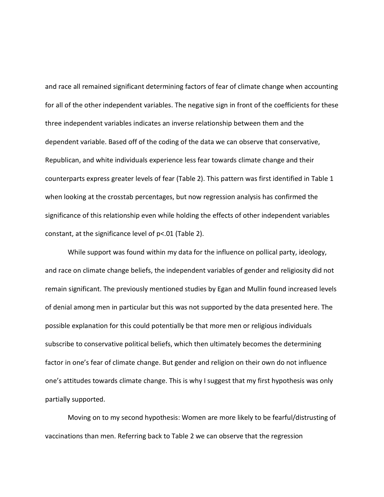and race all remained significant determining factors of fear of climate change when accounting for all of the other independent variables. The negative sign in front of the coefficients for these three independent variables indicates an inverse relationship between them and the dependent variable. Based off of the coding of the data we can observe that conservative, Republican, and white individuals experience less fear towards climate change and their counterparts express greater levels of fear (Table 2). This pattern was first identified in Table 1 when looking at the crosstab percentages, but now regression analysis has confirmed the significance of this relationship even while holding the effects of other independent variables constant, at the significance level of p<.01 (Table 2).

While support was found within my data for the influence on pollical party, ideology, and race on climate change beliefs, the independent variables of gender and religiosity did not remain significant. The previously mentioned studies by Egan and Mullin found increased levels of denial among men in particular but this was not supported by the data presented here. The possible explanation for this could potentially be that more men or religious individuals subscribe to conservative political beliefs, which then ultimately becomes the determining factor in one's fear of climate change. But gender and religion on their own do not influence one's attitudes towards climate change. This is why I suggest that my first hypothesis was only partially supported.

Moving on to my second hypothesis: Women are more likely to be fearful/distrusting of vaccinations than men. Referring back to Table 2 we can observe that the regression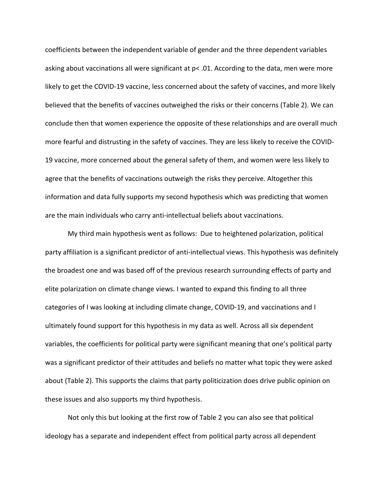coefficients between the independent variable of gender and the three dependent variables asking about vaccinations all were significant at p< .01. According to the data, men were more likely to get the COVID-19 vaccine, less concerned about the safety of vaccines, and more likely believed that the benefits of vaccines outweighed the risks or their concerns (Table 2). We can conclude then that women experience the opposite of these relationships and are overall much more fearful and distrusting in the safety of vaccines. They are less likely to receive the COVID-19 vaccine, more concerned about the general safety of them, and women were less likely to agree that the benefits of vaccinations outweigh the risks they perceive. Altogether this information and data fully supports my second hypothesis which was predicting that women are the main individuals who carry anti-intellectual beliefs about vaccinations.

My third main hypothesis went as follows: Due to heightened polarization, political party affiliation is a significant predictor of anti-intellectual views. This hypothesis was definitely the broadest one and was based off of the previous research surrounding effects of party and elite polarization on climate change views. I wanted to expand this finding to all three categories of I was looking at including climate change, COVID-19, and vaccinations and I ultimately found support for this hypothesis in my data as well. Across all six dependent variables, the coefficients for political party were significant meaning that one's political party was a significant predictor of their attitudes and beliefs no matter what topic they were asked about (Table 2). This supports the claims that party politicization does drive public opinion on these issues and also supports my third hypothesis.

Not only this but looking at the first row of Table 2 you can also see that political ideology has a separate and independent effect from political party across all dependent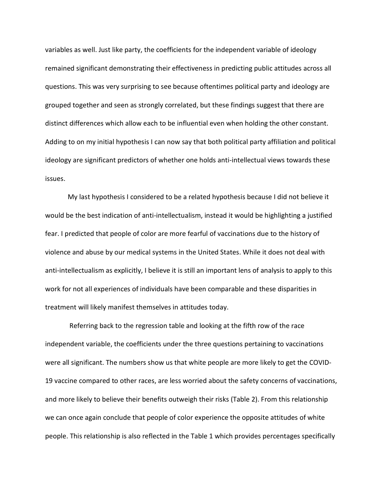variables as well. Just like party, the coefficients for the independent variable of ideology remained significant demonstrating their effectiveness in predicting public attitudes across all questions. This was very surprising to see because oftentimes political party and ideology are grouped together and seen as strongly correlated, but these findings suggest that there are distinct differences which allow each to be influential even when holding the other constant. Adding to on my initial hypothesis I can now say that both political party affiliation and political ideology are significant predictors of whether one holds anti-intellectual views towards these issues.

My last hypothesis I considered to be a related hypothesis because I did not believe it would be the best indication of anti-intellectualism, instead it would be highlighting a justified fear. I predicted that people of color are more fearful of vaccinations due to the history of violence and abuse by our medical systems in the United States. While it does not deal with anti-intellectualism as explicitly, I believe it is still an important lens of analysis to apply to this work for not all experiences of individuals have been comparable and these disparities in treatment will likely manifest themselves in attitudes today.

Referring back to the regression table and looking at the fifth row of the race independent variable, the coefficients under the three questions pertaining to vaccinations were all significant. The numbers show us that white people are more likely to get the COVID-19 vaccine compared to other races, are less worried about the safety concerns of vaccinations, and more likely to believe their benefits outweigh their risks (Table 2). From this relationship we can once again conclude that people of color experience the opposite attitudes of white people. This relationship is also reflected in the Table 1 which provides percentages specifically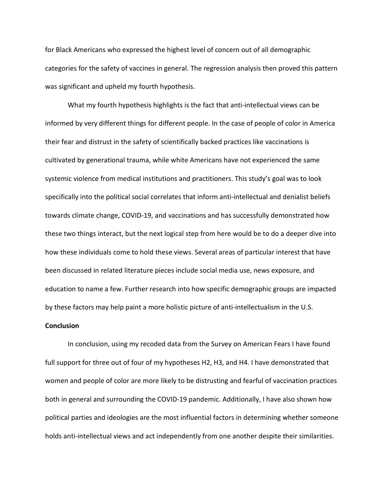for Black Americans who expressed the highest level of concern out of all demographic categories for the safety of vaccines in general. The regression analysis then proved this pattern was significant and upheld my fourth hypothesis.

What my fourth hypothesis highlights is the fact that anti-intellectual views can be informed by very different things for different people. In the case of people of color in America their fear and distrust in the safety of scientifically backed practices like vaccinations is cultivated by generational trauma, while white Americans have not experienced the same systemic violence from medical institutions and practitioners. This study's goal was to look specifically into the political social correlates that inform anti-intellectual and denialist beliefs towards climate change, COVID-19, and vaccinations and has successfully demonstrated how these two things interact, but the next logical step from here would be to do a deeper dive into how these individuals come to hold these views. Several areas of particular interest that have been discussed in related literature pieces include social media use, news exposure, and education to name a few. Further research into how specific demographic groups are impacted by these factors may help paint a more holistic picture of anti-intellectualism in the U.S.

#### **Conclusion**

In conclusion, using my recoded data from the Survey on American Fears I have found full support for three out of four of my hypotheses H2, H3, and H4. I have demonstrated that women and people of color are more likely to be distrusting and fearful of vaccination practices both in general and surrounding the COVID-19 pandemic. Additionally, I have also shown how political parties and ideologies are the most influential factors in determining whether someone holds anti-intellectual views and act independently from one another despite their similarities.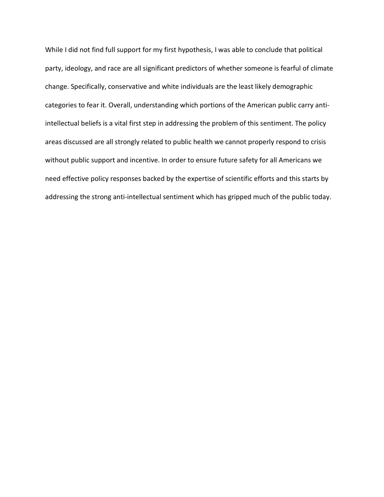While I did not find full support for my first hypothesis, I was able to conclude that political party, ideology, and race are all significant predictors of whether someone is fearful of climate change. Specifically, conservative and white individuals are the least likely demographic categories to fear it. Overall, understanding which portions of the American public carry antiintellectual beliefs is a vital first step in addressing the problem of this sentiment. The policy areas discussed are all strongly related to public health we cannot properly respond to crisis without public support and incentive. In order to ensure future safety for all Americans we need effective policy responses backed by the expertise of scientific efforts and this starts by addressing the strong anti-intellectual sentiment which has gripped much of the public today.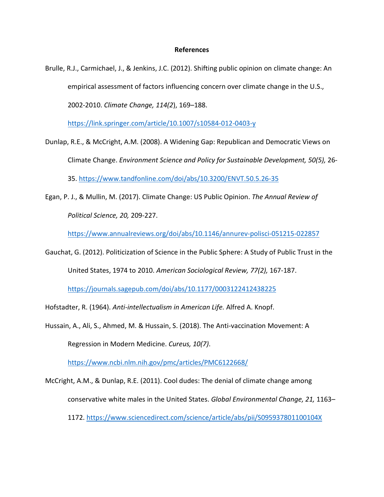#### **References**

Brulle, R.J., Carmichael, J., & Jenkins, J.C. (2012). Shifting public opinion on climate change: An empirical assessment of factors influencing concern over climate change in the U.S., 2002-2010. *Climate Change, 114(2*), 169–188.

<https://link.springer.com/article/10.1007/s10584-012-0403-y>

- Dunlap, R.E., & McCright, A.M. (2008). A Widening Gap: Republican and Democratic Views on Climate Change. *Environment Science and Policy for Sustainable Development, 50(5),* 26- 35.<https://www.tandfonline.com/doi/abs/10.3200/ENVT.50.5.26-35>
- Egan, P. J., & Mullin, M. (2017). Climate Change: US Public Opinion. *The Annual Review of Political Science, 20,* 209-227.

<https://www.annualreviews.org/doi/abs/10.1146/annurev-polisci-051215-022857>

Gauchat, G. (2012). Politicization of Science in the Public Sphere: A Study of Public Trust in the United States, 1974 to 2010. *American Sociological Review, 77(2),* 167-187.

<https://journals.sagepub.com/doi/abs/10.1177/0003122412438225>

Hofstadter, R. (1964). *Anti-intellectualism in American Life.* Alfred A. Knopf.

Hussain, A., Ali, S., Ahmed, M. & Hussain, S. (2018). The Anti-vaccination Movement: A Regression in Modern Medicine. *Cureus, 10(7)*.

<https://www.ncbi.nlm.nih.gov/pmc/articles/PMC6122668/>

McCright, A.M., & Dunlap, R.E. (2011). Cool dudes: The denial of climate change among conservative white males in the United States. *Global Environmental Change, 21,* 1163– 1172.<https://www.sciencedirect.com/science/article/abs/pii/S095937801100104X>